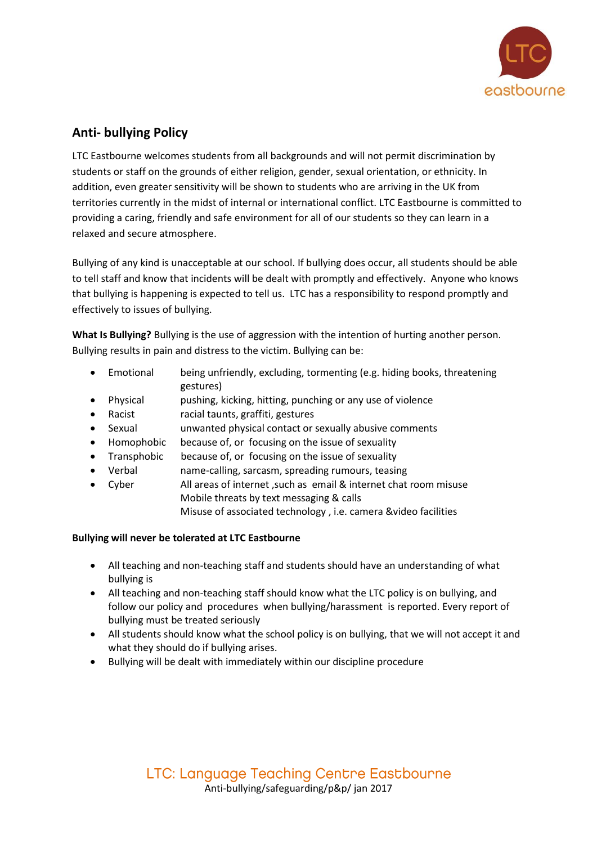

# **Anti- bullying Policy**

LTC Eastbourne welcomes students from all backgrounds and will not permit discrimination by students or staff on the grounds of either religion, gender, sexual orientation, or ethnicity. In addition, even greater sensitivity will be shown to students who are arriving in the UK from territories currently in the midst of internal or international conflict. LTC Eastbourne is committed to providing a caring, friendly and safe environment for all of our students so they can learn in a relaxed and secure atmosphere.

Bullying of any kind is unacceptable at our school. If bullying does occur, all students should be able to tell staff and know that incidents will be dealt with promptly and effectively. Anyone who knows that bullying is happening is expected to tell us. LTC has a responsibility to respond promptly and effectively to issues of bullying.

**What Is Bullying?** Bullying is the use of aggression with the intention of hurting another person. Bullying results in pain and distress to the victim. Bullying can be:

- Emotional being unfriendly, excluding, tormenting (e.g. hiding books, threatening gestures)
- Physical pushing, kicking, hitting, punching or any use of violence
- Racist racial taunts, graffiti, gestures
- Sexual unwanted physical contact or sexually abusive comments
- Homophobic because of, or focusing on the issue of sexuality
- Transphobic because of, or focusing on the issue of sexuality
- Verbal name-calling, sarcasm, spreading rumours, teasing
- Cyber All areas of internet ,such as email & internet chat room misuse Mobile threats by text messaging & calls Misuse of associated technology , i.e. camera &video facilities

## **Bullying will never be tolerated at LTC Eastbourne**

- All teaching and non-teaching staff and students should have an understanding of what bullying is
- All teaching and non-teaching staff should know what the LTC policy is on bullying, and follow our policy and procedures when bullying/harassment is reported. Every report of bullying must be treated seriously
- All students should know what the school policy is on bullying, that we will not accept it and what they should do if bullying arises.
- Bullying will be dealt with immediately within our discipline procedure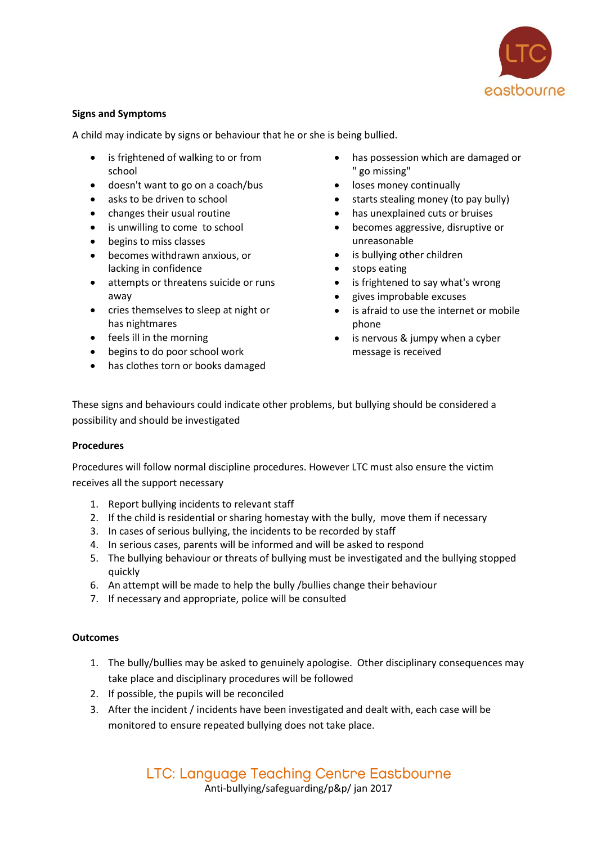

## **Signs and Symptoms**

A child may indicate by signs or behaviour that he or she is being bullied.

- is frightened of walking to or from school
- doesn't want to go on a coach/bus
- asks to be driven to school
- changes their usual routine
- is unwilling to come to school
- begins to miss classes
- becomes withdrawn anxious, or lacking in confidence
- attempts or threatens suicide or runs away
- cries themselves to sleep at night or has nightmares
- feels ill in the morning
- begins to do poor school work
- has clothes torn or books damaged
- has possession which are damaged or " go missing"
- loses money continually
- starts stealing money (to pay bully)
- has unexplained cuts or bruises
- becomes aggressive, disruptive or unreasonable
- is bullying other children
- stops eating
- is frightened to say what's wrong
- gives improbable excuses
- is afraid to use the internet or mobile phone
- is nervous & jumpy when a cyber message is received

These signs and behaviours could indicate other problems, but bullying should be considered a possibility and should be investigated

#### **Procedures**

Procedures will follow normal discipline procedures. However LTC must also ensure the victim receives all the support necessary

- 1. Report bullying incidents to relevant staff
- 2. If the child is residential or sharing homestay with the bully, move them if necessary
- 3. In cases of serious bullying, the incidents to be recorded by staff
- 4. In serious cases, parents will be informed and will be asked to respond
- 5. The bullying behaviour or threats of bullying must be investigated and the bullying stopped quickly
- 6. An attempt will be made to help the bully /bullies change their behaviour
- 7. If necessary and appropriate, police will be consulted

#### **Outcomes**

- 1. The bully/bullies may be asked to genuinely apologise. Other disciplinary consequences may take place and disciplinary procedures will be followed
- 2. If possible, the pupils will be reconciled
- 3. After the incident / incidents have been investigated and dealt with, each case will be monitored to ensure repeated bullying does not take place.